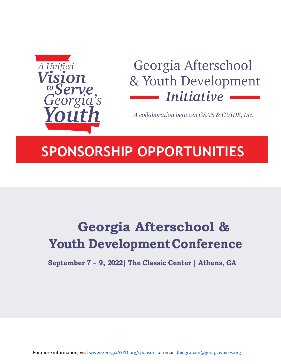

# Georgia Afterschool & Youth Development *Initiative*

A collaboration between GSAN & GUIDE, Inc.

## **SPONSORSHIP OPPORTUNITIES**

# **Georgia Afterschool & Youth DevelopmentConference**

**September 7 – 9, 2022| The Classic Center | Athens, GA**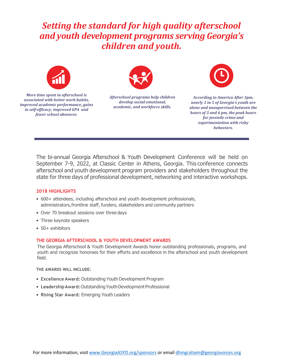### *Setting the standard for high quality afterschool and youth development programs serving Georgia's children and youth.*



*More time spent in afterschool is associated with better work habits, improved academic performance, gains in self-efficacy, improved GPA and fewer school absences.* 



*Afterschool programs help children develop social-emotional, academic, and workforce skills.*



*According to America After 3pm, nearly 1 in 5 of Georgia's youth are alone and unsupervised between the hours of 3 and 6 pm, the peak hours for juvenile crime and experimentation with risky behaviors.*

The bi-annual Georgia Afterschool & Youth Development Conference will be held on September 7-9, 2022, at Classic Center in Athens, Georgia. This conference connects afterschool and youth development program providers and stakeholders throughout the state for three days of professional development, networking and interactive workshops.

#### **2018 HIGHLIGHTS**

- 600+ attendees, including afterschool and youth development professionals, administrators, frontline staff, funders, stakeholders and community partners
- Over 70 breakout sessions over three days
- Three keynote speakers
- 50+ exhibitors

#### **THE GEORGIA AFTERSCHOOL & YOUTH DEVELOPMENT AWARDS**

The Georgia Afterschool & Youth Development Awards honor outstanding professionals, programs, and youth and recognize honorees for their efforts and excellence in the afterschool and youth development field.

**THE AWARDS WILL INCLUDE:**

- **Excellence Award:** Outstanding Youth Development Program
- Leadership Award: Outstanding Youth Development Professional
- **Rising Star Award:** Emerging Youth Leaders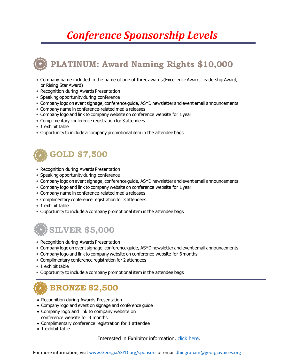## *Conference Sponsorship Levels*

## **PLATINUM: Award Naming Rights \$10,000**

- Company name included in the name of one of three awards (Excellence Award, Leadership Award, or Rising Star Award)
- Recognition during Awards Presentation
- Speaking opportunity during conference
- Company logo on event signage, conference guide, ASYD newsletter and event email announcements
- Company name in conference-related media releases
- Company logo and link to company website on conference website for 1year
- Complimentary conference registration for 3 attendees
- 1 exhibit table
- Opportunity to include a company promotional item in the attendee bags

### **GOLD \$7,500**

- Recognition during Awards Presentation
- Speaking opportunity during conference
- Company logo on event signage, conference guide, ASYD newsletter and event email announcements
- Company logo and link to company website on conference website for 1year
- Company name in conference-related media releases
- Complimentary conference registration for 3 attendees
- 1 exhibit table
- Opportunity to include a company promotional item in the attendee bags

### **SILVER \$5,000**

- Recognition during Awards Presentation
- Company logo on event signage, conference guide, ASYD newsletter and event email announcements
- Company logo and link to company website on conference website for 6months
- Complimentary conference registration for 2 attendees
- 1 exhibit table
- Opportunity to include a company promotional item in the attendee bags

### **BRONZE \$2,500**

- Recognition during Awards Presentation
- Company logo and event on signage and conference guide
- Company logo and link to company website on conference website for 3 months
- Complimentary conference registration for 1 attendee
- 1 exhibit table

Interested in Exhibitor information, [click here.](http://georgiaasyd.org/conference/exhibits/)

For more information, visi[t www.GeorgiaASYD.org/sponsors](http://www.georgiaasyd.org/sponsors) or email [dhingraham@georgiavoices.org](mailto:dhingraham@georgiavoices.org)